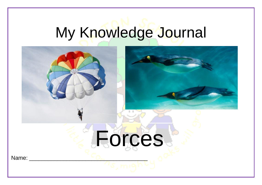## My Knowledge Journal

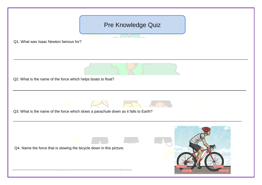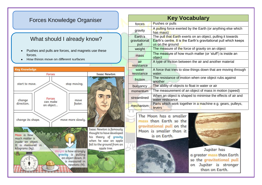## Forces Knowledge Organiser

## what should I all caught Now: What should I already know?

- Pushes and pulls are forces, and magnets use these forces.
- How things move on different surfaces



| <b>Key Vocabulary</b>            |                                                                                                                                                            |
|----------------------------------|------------------------------------------------------------------------------------------------------------------------------------------------------------|
| forces                           | Pushes or pulls                                                                                                                                            |
| gravity                          | A pulling force exerted by the Earth (or anything else which<br>has mass)                                                                                  |
| Earth's<br>gravitational<br>pull | The pull that Earth exerts on an object, pulling it towards<br><b>Earth's centre. It is the Earth's gravitational pull which keeps</b><br>us on the ground |
| weight                           | The measure of the force of gravity on an object                                                                                                           |
| mass                             | The measure of how much matter (or 'stuff') is inside an<br>object                                                                                         |
| air<br>resistance                | A type of friction between the air and another material                                                                                                    |
| water<br>resistance              | A force that tries to slow things down that are moving through<br>water.                                                                                   |
| friction                         | The resistance of motion when one object rubs against<br>another                                                                                           |
| buoyancy                         | The ability of objects to float in water or air                                                                                                            |
| momentum                         | The measurement of an object of mass in motion (speed)                                                                                                     |
| streamlined                      | When an object is shaped to minimise the effects of air and<br>water resistance                                                                            |
| mechanism                        | Parts which work together in a machine e.g. gears, pulleys,<br>levers                                                                                      |
|                                  |                                                                                                                                                            |

The Moon has a smaller mass than Earth so the gravitational pull on the Moon is smaller than it is on Earth.



Jupiter has a greater mass than Earth so the gravitational pull on Jupiter is stronger than on Earth.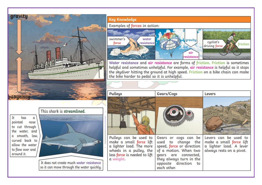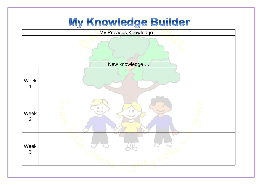## My Knowledge Builder

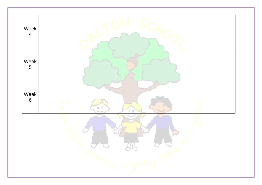